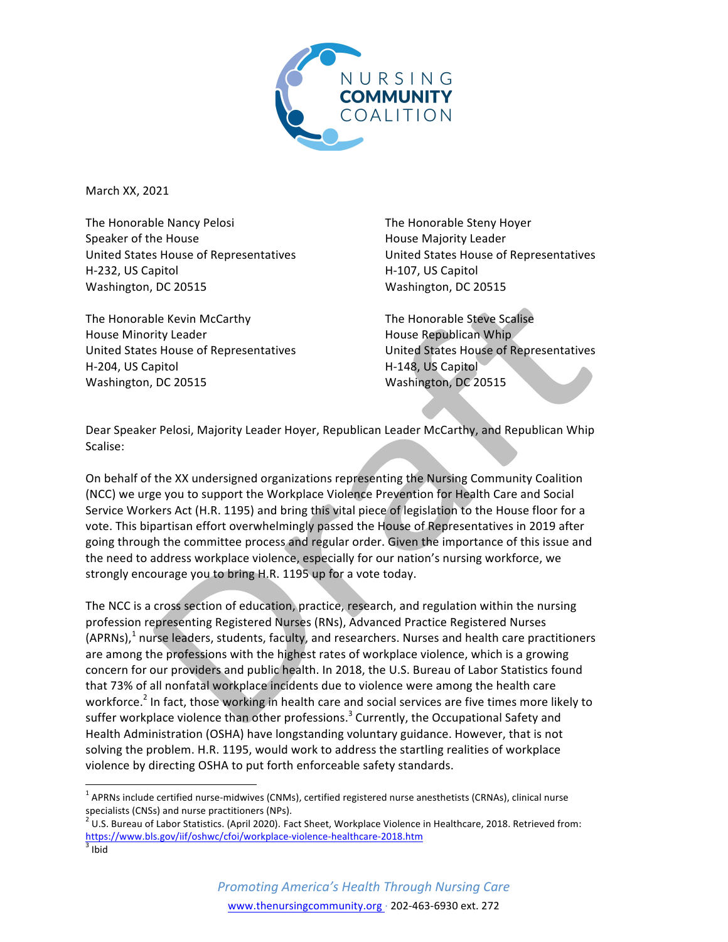

March XX, 2021

The Honorable Nancy Pelosi Speaker of the House United States House of Representatives H-232, US Capitol Washington, DC 20515

The Honorable Kevin McCarthy House Minority Leader United States House of Representatives H-204, US Capitol Washington, DC 20515

The Honorable Steny Hoyer House Majority Leader United States House of Representatives H-107, US Capitol Washington, DC 20515

The Honorable Steve Scalise House Republican Whip United States House of Representatives H-148, US Capitol Washington, DC 20515

Dear Speaker Pelosi, Majority Leader Hoyer, Republican Leader McCarthy, and Republican Whip Scalise:

On behalf of the XX undersigned organizations representing the Nursing Community Coalition (NCC) we urge you to support the Workplace Violence Prevention for Health Care and Social Service Workers Act (H.R. 1195) and bring this vital piece of legislation to the House floor for a vote. This bipartisan effort overwhelmingly passed the House of Representatives in 2019 after going through the committee process and regular order. Given the importance of this issue and the need to address workplace violence, especially for our nation's nursing workforce, we strongly encourage you to bring H.R. 1195 up for a vote today.

The NCC is a cross section of education, practice, research, and regulation within the nursing profession representing Registered Nurses (RNs), Advanced Practice Registered Nurses  $(APRNS)<sup>1</sup>$  nurse leaders, students, faculty, and researchers. Nurses and health care practitioners are among the professions with the highest rates of workplace violence, which is a growing concern for our providers and public health. In 2018, the U.S. Bureau of Labor Statistics found that 73% of all nonfatal workplace incidents due to violence were among the health care workforce.<sup>2</sup> In fact, those working in health care and social services are five times more likely to suffer workplace violence than other professions.<sup>3</sup> Currently, the Occupational Safety and Health Administration (OSHA) have longstanding voluntary guidance. However, that is not solving the problem. H.R. 1195, would work to address the startling realities of workplace violence by directing OSHA to put forth enforceable safety standards.

 $1$  APRNs include certified nurse-midwives (CNMs), certified registered nurse anesthetists (CRNAs), clinical nurse specialists (CNSs) and nurse practitioners (NPs).

 $^2$  U.S. Bureau of Labor Statistics. (April 2020). Fact Sheet, Workplace Violence in Healthcare, 2018. Retrieved from: https://www.bls.gov/iif/oshwc/cfoi/workplace-violence-healthcare-2018.htm<br>3 Ibid